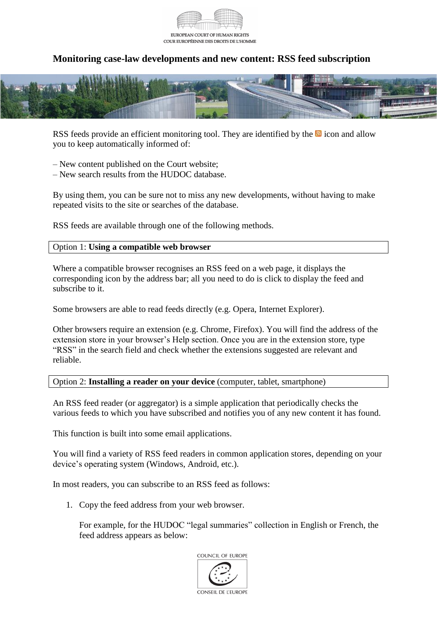

## **Monitoring case-law developments and new content: RSS feed subscription**



RSS feeds provide an efficient monitoring tool. They are identified by the  $\blacksquare$  icon and allow you to keep automatically informed of:

– New content published on the Court website;

– New search results from the HUDOC database.

By using them, you can be sure not to miss any new developments, without having to make repeated visits to the site or searches of the database.

RSS feeds are available through one of the following methods.

## Option 1: **Using a compatible web browser**

Where a compatible browser recognises an RSS feed on a web page, it displays the corresponding icon by the address bar; all you need to do is click to display the feed and subscribe to it.

Some browsers are able to read feeds directly (e.g. Opera, Internet Explorer).

Other browsers require an extension (e.g. Chrome, Firefox). You will find the address of the extension store in your browser's Help section. Once you are in the extension store, type "RSS" in the search field and check whether the extensions suggested are relevant and reliable.

## Option 2: **Installing a reader on your device** (computer, tablet, smartphone)

An RSS feed reader (or aggregator) is a simple application that periodically checks the various feeds to which you have subscribed and notifies you of any new content it has found.

This function is built into some email applications.

You will find a variety of RSS feed readers in common application stores, depending on your device's operating system (Windows, Android, etc.).

In most readers, you can subscribe to an RSS feed as follows:

1. Copy the feed address from your web browser.

For example, for the HUDOC "legal summaries" collection in English or French, the feed address appears as below: